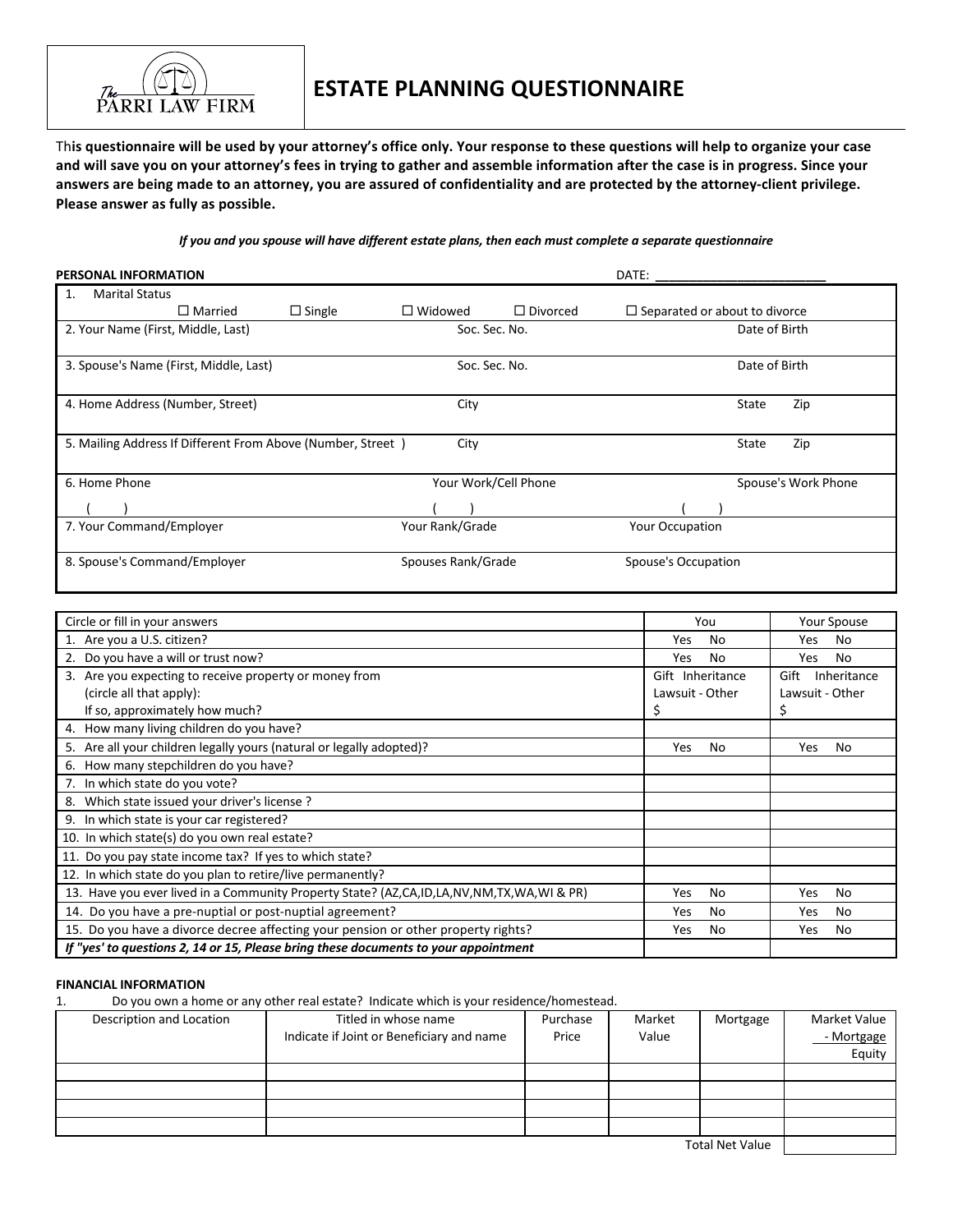

# **ESTATE PLANNING QUESTIONNAIRE**

This questionnaire will be used by your attorney's office only. Your response to these questions will help to organize your case and will save you on your attorney's fees in trying to gather and assemble information after the case is in progress. Since your answers are being made to an attorney, you are assured of confidentiality and are protected by the attorney-client privilege. **Please answer as fully as possible.** 

*If* you and you spouse will have different estate plans, then each must complete a separate questionnaire

| <b>PERSONAL INFORMATION</b>                                 |               |                    |                      | DATE:                                |                     |
|-------------------------------------------------------------|---------------|--------------------|----------------------|--------------------------------------|---------------------|
| <b>Marital Status</b><br>1.                                 |               |                    |                      |                                      |                     |
| $\Box$ Married                                              | $\Box$ Single | $\Box$ Widowed     | $\Box$ Divorced      | $\Box$ Separated or about to divorce |                     |
| 2. Your Name (First, Middle, Last)                          |               | Soc. Sec. No.      |                      |                                      | Date of Birth       |
| 3. Spouse's Name (First, Middle, Last)                      |               | Soc. Sec. No.      |                      |                                      | Date of Birth       |
| 4. Home Address (Number, Street)                            |               | City               |                      |                                      | Zip<br>State        |
| 5. Mailing Address If Different From Above (Number, Street) |               | City               |                      |                                      | State<br>Zip        |
| 6. Home Phone                                               |               |                    | Your Work/Cell Phone |                                      | Spouse's Work Phone |
|                                                             |               |                    |                      |                                      |                     |
| 7. Your Command/Employer                                    |               | Your Rank/Grade    |                      | <b>Your Occupation</b>               |                     |
| 8. Spouse's Command/Employer                                |               | Spouses Rank/Grade |                      | Spouse's Occupation                  |                     |

| Circle or fill in your answers                                                           | You              | <b>Your Spouse</b>  |
|------------------------------------------------------------------------------------------|------------------|---------------------|
| 1. Are you a U.S. citizen?                                                               | No.<br>Yes.      | No.<br>Yes.         |
| 2. Do you have a will or trust now?                                                      | Yes<br>No        | No<br>Yes           |
| 3. Are you expecting to receive property or money from                                   | Gift Inheritance | Gift<br>Inheritance |
| (circle all that apply):                                                                 | Lawsuit - Other  | Lawsuit - Other     |
| If so, approximately how much?                                                           |                  |                     |
| How many living children do you have?<br>4.                                              |                  |                     |
| 5. Are all your children legally yours (natural or legally adopted)?                     | No<br>Yes        | Yes<br>No           |
| How many stepchildren do you have?<br>6.                                                 |                  |                     |
| 7. In which state do you vote?                                                           |                  |                     |
| 8. Which state issued your driver's license?                                             |                  |                     |
| 9. In which state is your car registered?                                                |                  |                     |
| 10. In which state(s) do you own real estate?                                            |                  |                     |
| 11. Do you pay state income tax? If yes to which state?                                  |                  |                     |
| 12. In which state do you plan to retire/live permanently?                               |                  |                     |
| 13. Have you ever lived in a Community Property State? (AZ,CA,ID,LA,NV,NM,TX,WA,WI & PR) | Yes<br>No        | Yes<br>No           |
| 14. Do you have a pre-nuptial or post-nuptial agreement?                                 | Yes<br>No        | Yes<br><b>No</b>    |
| 15. Do you have a divorce decree affecting your pension or other property rights?        | Yes<br>No.       | Yes<br><b>No</b>    |
| If "yes' to questions 2, 14 or 15, Please bring these documents to your appointment      |                  |                     |

## **FINANCIAL INFORMATION**

1. Do you own a home or any other real estate? Indicate which is your residence/homestead.

| Description and Location | Titled in whose name                      | Purchase | Market | Mortgage | Market Value |
|--------------------------|-------------------------------------------|----------|--------|----------|--------------|
|                          | Indicate if Joint or Beneficiary and name | Price    | Value  |          | - Mortgage   |
|                          |                                           |          |        |          | Equity       |
|                          |                                           |          |        |          |              |
|                          |                                           |          |        |          |              |
|                          |                                           |          |        |          |              |
|                          |                                           |          |        |          |              |
| Total Net Value          |                                           |          |        |          |              |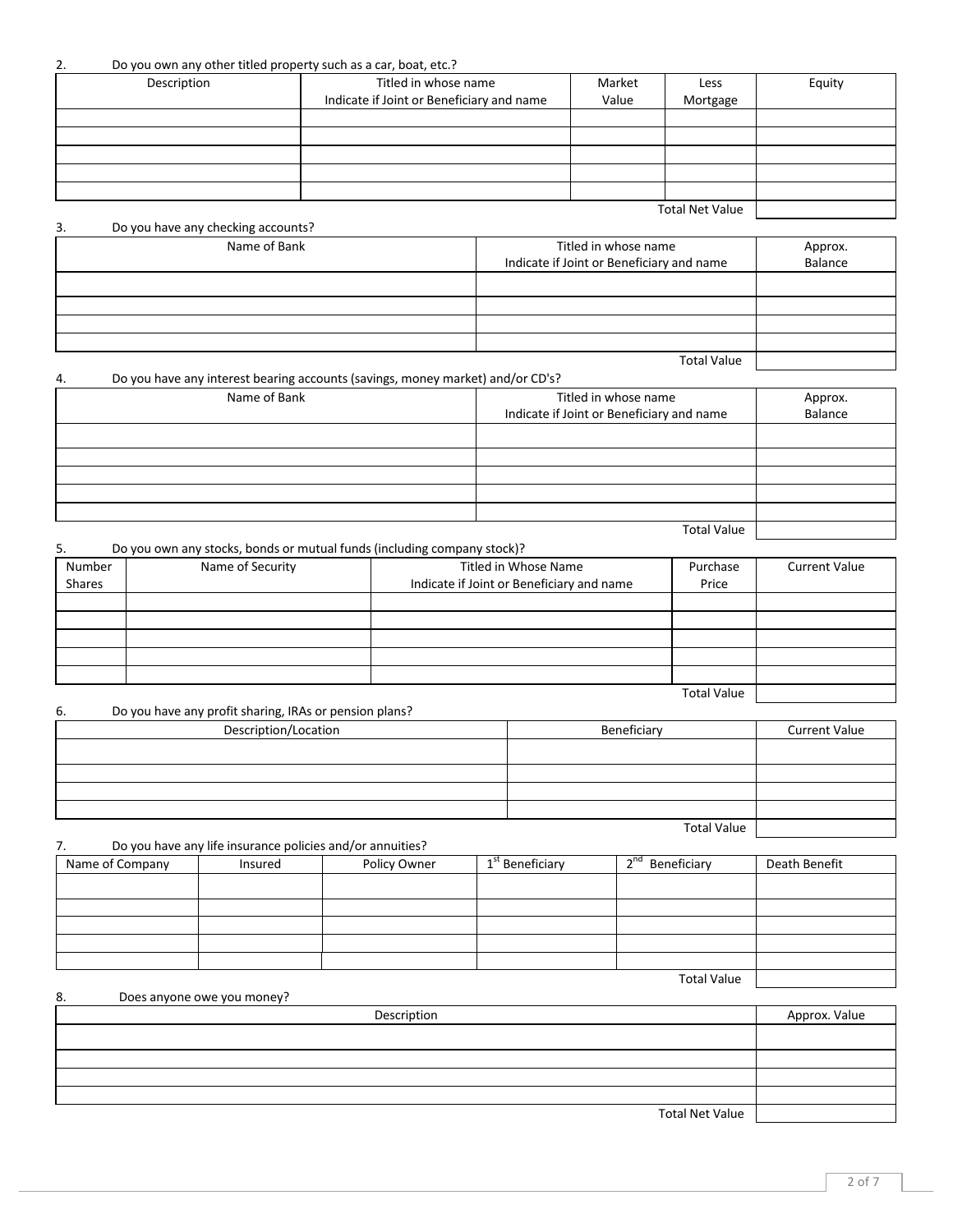## 2. Do you own any other titled property such as a car, boat, etc.?

| Description | Titled in whose name<br>Indicate if Joint or Beneficiary and name | Market<br>Value | Less<br>Mortgage       | Equity |
|-------------|-------------------------------------------------------------------|-----------------|------------------------|--------|
|             |                                                                   |                 |                        |        |
|             |                                                                   |                 |                        |        |
|             |                                                                   |                 |                        |        |
|             |                                                                   |                 |                        |        |
|             |                                                                   |                 |                        |        |
|             |                                                                   |                 |                        |        |
|             |                                                                   |                 | <b>Total Net Value</b> |        |

3. Do you have any checking accounts? Name of Bank Titled in whose name Indicate if Joint or Beneficiary and name Approx. Balance **Total Value** 

4. Do you have any interest bearing accounts (savings, money market) and/or CD's? Name of Bank Titled in whose name Indicate if Joint or Beneficiary and name Approx. Balance

| 5.     | Do you own any stocks, bonds or mutual funds (including company stock)? |                                           |                    |                      |  |
|--------|-------------------------------------------------------------------------|-------------------------------------------|--------------------|----------------------|--|
| Number | Name of Security                                                        | Titled in Whose Name                      | Purchase           | <b>Current Value</b> |  |
| Shares |                                                                         | Indicate if Joint or Beneficiary and name | Price              |                      |  |
|        |                                                                         |                                           |                    |                      |  |
|        |                                                                         |                                           |                    |                      |  |
|        |                                                                         |                                           |                    |                      |  |
|        |                                                                         |                                           |                    |                      |  |
|        |                                                                         |                                           |                    |                      |  |
|        |                                                                         |                                           | <b>Total Value</b> |                      |  |

**Total Value** 

| 6. | Do you have any profit sharing, IRAs or pension plans? |                    |                      |
|----|--------------------------------------------------------|--------------------|----------------------|
|    | Description/Location                                   | Beneficiary        | <b>Current Value</b> |
|    |                                                        |                    |                      |
|    |                                                        |                    |                      |
|    |                                                        |                    |                      |
|    |                                                        |                    |                      |
|    |                                                        | <b>Total Value</b> |                      |

7. Do you have any life insurance policies and/or annuities?

| Name of Company | Insured | Policy Owner | 1 <sup>st</sup> Beneficiary | $\lambda$ nd<br>Beneficiary | Death Benefit |
|-----------------|---------|--------------|-----------------------------|-----------------------------|---------------|
|                 |         |              |                             |                             |               |
|                 |         |              |                             |                             |               |
|                 |         |              |                             |                             |               |
|                 |         |              |                             |                             |               |
|                 |         |              |                             |                             |               |
|                 |         |              |                             | <b>Total Value</b>          |               |

| 8. | Does anyone owe you money? |               |
|----|----------------------------|---------------|
|    | Description                | Approx. Value |
|    |                            |               |
|    |                            |               |
|    |                            |               |
|    |                            |               |
|    | <b>Total Net Value</b>     |               |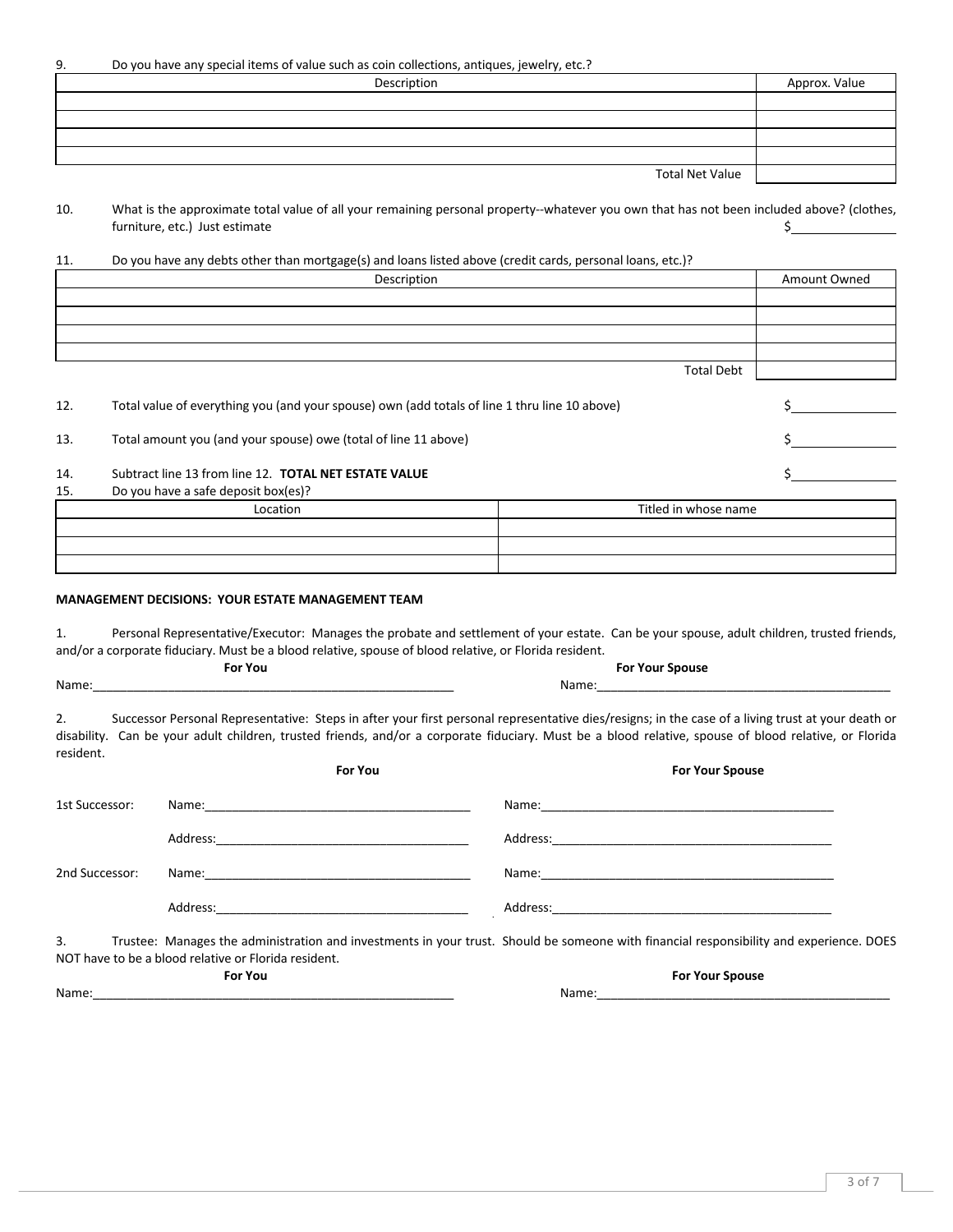9. Do you have any special items of value such as coin collections, antiques, jewelry, etc.?

| Description            | Approx. Value |
|------------------------|---------------|
|                        |               |
|                        |               |
|                        |               |
|                        |               |
| <b>Total Net Value</b> |               |

10. What is the approximate total value of all your remaining personal property--whatever you own that has not been included above? (clothes, furniture, etc.) Just estimate the contract of the contract of the contract of the contract of the contract of the contract of the contract of the contract of the contract of the contract of the contract of the contract of

#### 11. Do you have any debts other than mortgage(s) and loans listed above (credit cards, personal loans, etc.)?

|     | Description                                                                                   |                   | Amount Owned |
|-----|-----------------------------------------------------------------------------------------------|-------------------|--------------|
|     |                                                                                               |                   |              |
|     |                                                                                               |                   |              |
|     |                                                                                               |                   |              |
|     |                                                                                               |                   |              |
|     |                                                                                               | <b>Total Debt</b> |              |
|     |                                                                                               |                   |              |
| 12. | Total value of everything you (and your spouse) own (add totals of line 1 thru line 10 above) |                   |              |
|     |                                                                                               |                   |              |
| 13. | Total amount you (and your spouse) owe (total of line 11 above)                               |                   |              |
|     |                                                                                               |                   |              |
| 14. | Subtract line 13 from line 12. TOTAL NET ESTATE VALUE                                         |                   |              |
| 15. | Do you have a safe deposit box(es)?                                                           |                   |              |

| Titled in whose name |
|----------------------|
|                      |
|                      |
|                      |
|                      |

#### **MANAGEMENT DECISIONS: YOUR ESTATE MANAGEMENT TEAM**

1. Personal Representative/Executor: Manages the probate and settlement of your estate. Can be your spouse, adult children, trusted friends, and/or a corporate fiduciary. Must be a blood relative, spouse of blood relative, or Florida resident.

| For You | <b>For Your Spouse</b> |
|---------|------------------------|
| Name:   | Name:                  |

2. Successor Personal Representative: Steps in after your first personal representative dies/resigns; in the case of a living trust at your death or disability. Can be your adult children, trusted friends, and/or a corporate fiduciary. Must be a blood relative, spouse of blood relative, or Florida resident.

|                | For You                                              | <b>For Your Spouse</b>                                                                                                                  |
|----------------|------------------------------------------------------|-----------------------------------------------------------------------------------------------------------------------------------------|
| 1st Successor: |                                                      | Name: 2008 2009 2010 2021 2022 2023 2024 2022 2022 2023 2024 2022 2023 2024 2022 2023 2024 2022 2023 2024 2022                          |
|                |                                                      |                                                                                                                                         |
| 2nd Successor: |                                                      | Name: Name:                                                                                                                             |
|                |                                                      |                                                                                                                                         |
| 3.             | NOT have to be a blood relative or Florida resident. | Trustee: Manages the administration and investments in your trust. Should be someone with financial responsibility and experience. DOES |
|                | <b>For You</b>                                       | <b>For Your Spouse</b>                                                                                                                  |
| Name:          |                                                      | Name:                                                                                                                                   |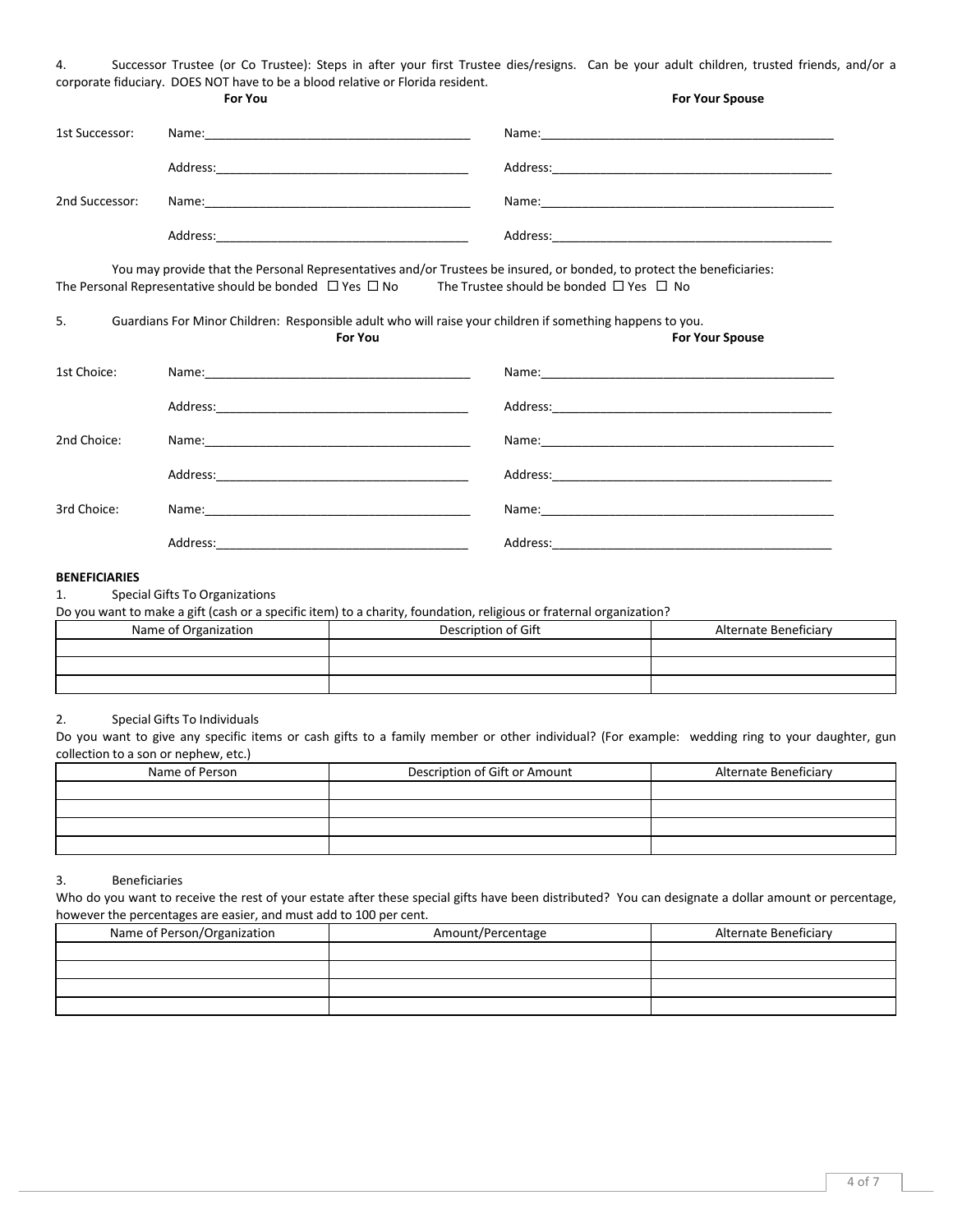| Successor Trustee (or Co Trustee): Steps in after your first Trustee dies/resigns. Can be your adult children, trusted friends, and/or a |  |  |  |  |  |  |  |  |  |
|------------------------------------------------------------------------------------------------------------------------------------------|--|--|--|--|--|--|--|--|--|
| corporate fiduciary. DOES NOT have to be a blood relative or Florida resident.                                                           |  |  |  |  |  |  |  |  |  |

|                      | <b>For You</b>                                                                                                                                                                                                                                | <b>For Your Spouse</b> |
|----------------------|-----------------------------------------------------------------------------------------------------------------------------------------------------------------------------------------------------------------------------------------------|------------------------|
| 1st Successor:       |                                                                                                                                                                                                                                               |                        |
|                      |                                                                                                                                                                                                                                               |                        |
| 2nd Successor:       |                                                                                                                                                                                                                                               |                        |
|                      |                                                                                                                                                                                                                                               |                        |
|                      | You may provide that the Personal Representatives and/or Trustees be insured, or bonded, to protect the beneficiaries:<br>The Personal Representative should be bonded $\Box$ Yes $\Box$ No The Trustee should be bonded $\Box$ Yes $\Box$ No |                        |
| 5.                   | Guardians For Minor Children: Responsible adult who will raise your children if something happens to you.<br><b>For You</b>                                                                                                                   | <b>For Your Spouse</b> |
| 1st Choice:          |                                                                                                                                                                                                                                               |                        |
|                      |                                                                                                                                                                                                                                               |                        |
| 2nd Choice:          |                                                                                                                                                                                                                                               |                        |
|                      |                                                                                                                                                                                                                                               |                        |
| 3rd Choice:          |                                                                                                                                                                                                                                               |                        |
|                      |                                                                                                                                                                                                                                               |                        |
| <b>BENEFICIARIES</b> |                                                                                                                                                                                                                                               |                        |
| 1.                   | Special Gifts To Organizations                                                                                                                                                                                                                |                        |

Do you want to make a gift (cash or a specific item) to a charity, foundation, religious or fraternal organization?

| Name of Organization | Description of Gift | Alternate Beneficiary |
|----------------------|---------------------|-----------------------|
|                      |                     |                       |
|                      |                     |                       |
|                      |                     |                       |

## 2. Special Gifts To Individuals

Do you want to give any specific items or cash gifts to a family member or other individual? (For example: wedding ring to your daughter, gun collection to a son or nephew, etc.)

| Name of Person | Description of Gift or Amount | Alternate Beneficiary |
|----------------|-------------------------------|-----------------------|
|                |                               |                       |
|                |                               |                       |
|                |                               |                       |
|                |                               |                       |

## 3. Beneficiaries

Who do you want to receive the rest of your estate after these special gifts have been distributed? You can designate a dollar amount or percentage, however the percentages are easier, and must add to 100 per cent.

| Name of Person/Organization | Amount/Percentage | Alternate Beneficiary |
|-----------------------------|-------------------|-----------------------|
|                             |                   |                       |
|                             |                   |                       |
|                             |                   |                       |
|                             |                   |                       |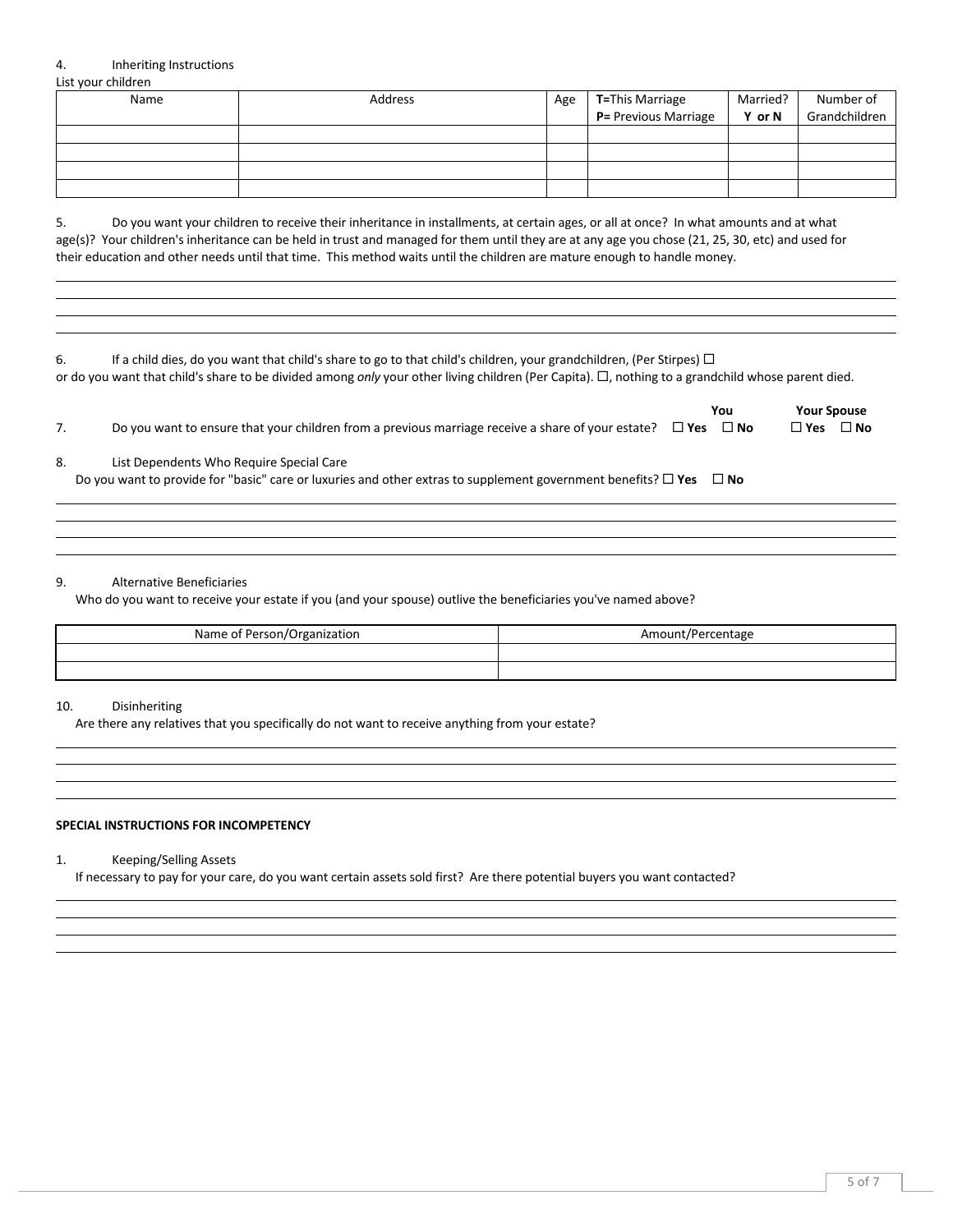## 4. Inheriting Instructions

List your children

| Name | Address | Age | T=This Marriage<br>$P =$ Previous Marriage | Married?<br>Y or N | Number of<br>Grandchildren |
|------|---------|-----|--------------------------------------------|--------------------|----------------------------|
|      |         |     |                                            |                    |                            |
|      |         |     |                                            |                    |                            |
|      |         |     |                                            |                    |                            |
|      |         |     |                                            |                    |                            |

5. Do you want your children to receive their inheritance in installments, at certain ages, or all at once? In what amounts and at what age(s)? Your children's inheritance can be held in trust and managed for them until they are at any age you chose (21, 25, 30, etc) and used for their education and other needs until that time. This method waits until the children are mature enough to handle money.

| If a child dies, do you want that child's share to go to that child's children, your grandchildren, (Per Stirpes) $\Box$                          |
|---------------------------------------------------------------------------------------------------------------------------------------------------|
| or do you want that child's share to be divided among only your other living children (Per Capita). □, nothing to a grandchild whose parent died. |

|    |                                                                                                                    | You  | <b>Your Spouse</b> |      |
|----|--------------------------------------------------------------------------------------------------------------------|------|--------------------|------|
|    | Do you want to ensure that your children from a previous marriage receive a share of your estate? $\square$ Yes    | ⊟ No | $\square$ Yes      | ⊟ No |
| 8. | List Dependents Who Require Special Care                                                                           |      |                    |      |
|    | Do you want to provide for "basic" care or luxuries and other extras to supplement government benefits? $\Box$ Yes | ⊟ No |                    |      |

#### 9. Alternative Beneficiaries

Who do you want to receive your estate if you (and your spouse) outlive the beneficiaries you've named above?

| Name of Person/Organization | Amount/Percentage |
|-----------------------------|-------------------|
|                             |                   |
|                             |                   |

#### 10. Disinheriting

Are there any relatives that you specifically do not want to receive anything from your estate?

## **SPECIAL INSTRUCTIONS FOR INCOMPETENCY**

| 1. | Keeping/Selling Assets |
|----|------------------------|
|----|------------------------|

If necessary to pay for your care, do you want certain assets sold first? Are there potential buyers you want contacted?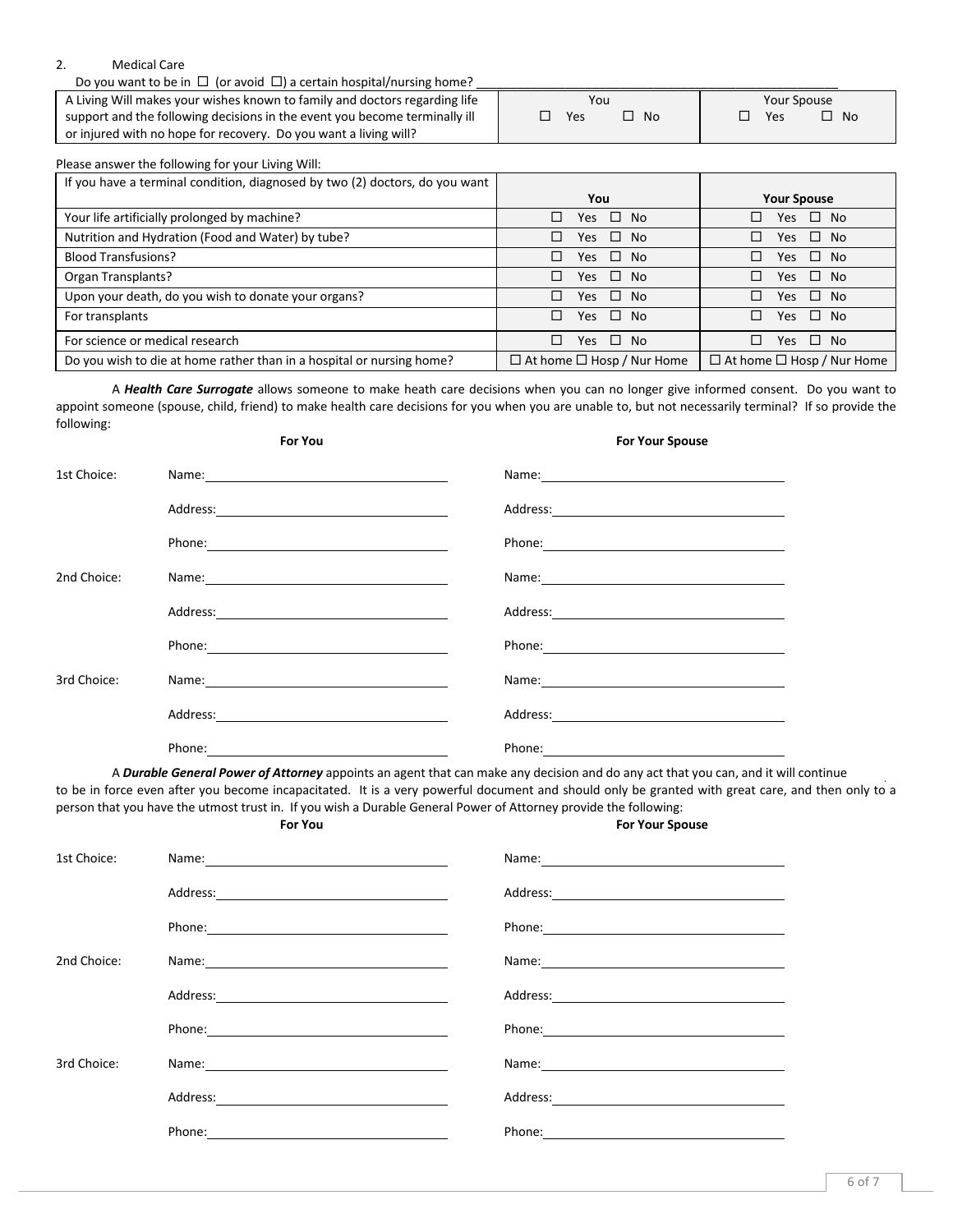#### 2. Medical Care

Do you want to be in  $\Box$  (or avoid  $\Box$ ) a certain hospital/nursing home?

A Living Will makes your wishes known to family and doctors regarding life support and the following decisions in the event you become terminally ill or injured with no hope for recovery. Do you want a living will? You  $\square$  Yes  $\square$  No Your Spouse  $\square$  Yes  $\square$  No

| Please answer the following for your Living Will:                           |                                       |                                        |
|-----------------------------------------------------------------------------|---------------------------------------|----------------------------------------|
| If you have a terminal condition, diagnosed by two (2) doctors, do you want |                                       |                                        |
|                                                                             | You                                   | <b>Your Spouse</b>                     |
| Your life artificially prolonged by machine?                                | Yes $\square$ No<br>□                 | $\square$ No<br>Yes                    |
| Nutrition and Hydration (Food and Water) by tube?                           | Yes $\square$ No<br>п                 | $\square$ No<br>Yes                    |
| <b>Blood Transfusions?</b>                                                  | Yes $\Box$ No<br>п                    | $\square$ No<br>п<br>Yes               |
| Organ Transplants?                                                          | Yes $\square$ No<br>п                 | $\square$ No<br>Yes.                   |
| Upon your death, do you wish to donate your organs?                         | Yes $\square$ No<br>П                 | Yes $\square$ No<br>П.                 |
| For transplants                                                             | $\Box$ No<br>п<br>Yes                 | $\Box$<br>N <sub>0</sub><br><b>Yes</b> |
| For science or medical research                                             | Yes $\square$ No<br>п                 | $\Box$<br>- No<br>Yes                  |
| Do you wish to die at home rather than in a hospital or nursing home?       | $\Box$ At home $\Box$ Hosp / Nur Home | $\Box$ At home $\Box$ Hosp / Nur Home  |

A *Health Care Surrogate* allows someone to make heath care decisions when you can no longer give informed consent. Do you want to appoint someone (spouse, child, friend) to make health care decisions for you when you are unable to, but not necessarily terminal? If so provide the following: 

**For You For Your** 

|             |                                                                                                                                                                                                                             | .                                                                                                                                                                                                                              |
|-------------|-----------------------------------------------------------------------------------------------------------------------------------------------------------------------------------------------------------------------------|--------------------------------------------------------------------------------------------------------------------------------------------------------------------------------------------------------------------------------|
| 1st Choice: | Name: Name: 2008   2008   2019   2019   2019   2019   2019   2019   2019   2019   2019   2019   2019   2019   2019   2019   2019   2019   2019   2019   2019   2019   2019   2019   2019   2019   2019   2019   2019   2019 | Name: Name and the second contract of the second contract of the second contract of the second contract of the second contract of the second contract of the second contract of the second contract of the second contract of  |
|             |                                                                                                                                                                                                                             |                                                                                                                                                                                                                                |
|             |                                                                                                                                                                                                                             |                                                                                                                                                                                                                                |
| 2nd Choice: |                                                                                                                                                                                                                             |                                                                                                                                                                                                                                |
|             |                                                                                                                                                                                                                             |                                                                                                                                                                                                                                |
|             |                                                                                                                                                                                                                             | Phone: The contract of the contract of the contract of the contract of the contract of the contract of the contract of the contract of the contract of the contract of the contract of the contract of the contract of the con |
| 3rd Choice: |                                                                                                                                                                                                                             |                                                                                                                                                                                                                                |
|             |                                                                                                                                                                                                                             |                                                                                                                                                                                                                                |
|             | Phone:                                                                                                                                                                                                                      | Phone:                                                                                                                                                                                                                         |

A **Durable General Power of Attorney** appoints an agent that can make any decision and do any act that you can, and it will continue to be in force even after you become incapacitated. It is a very powerful document and should only be granted with great care, and then only to a person that you have the utmost trust in. If you wish a Durable General Power of Attorney provide the following: **For Your Spouse** 

| 1st Choice: | Name: Name and the service of the service of the service of the service of the service of the service of the service of the service of the service of the service of the service of the service of the service of the service  |                                                                                                                                                                                                                               |
|-------------|--------------------------------------------------------------------------------------------------------------------------------------------------------------------------------------------------------------------------------|-------------------------------------------------------------------------------------------------------------------------------------------------------------------------------------------------------------------------------|
|             |                                                                                                                                                                                                                                |                                                                                                                                                                                                                               |
|             |                                                                                                                                                                                                                                | Phone: Note: 2008                                                                                                                                                                                                             |
| 2nd Choice: | Name: Name and the second contract of the second contract of the second contract of the second contract of the second contract of the second contract of the second contract of the second contract of the second contract of  |                                                                                                                                                                                                                               |
|             |                                                                                                                                                                                                                                | Address: Address: Address: Address: Address: Address: Address: Address: Address: Address: Address: A                                                                                                                          |
|             | Phone: The contract of the contract of the contract of the contract of the contract of the contract of the contract of the contract of the contract of the contract of the contract of the contract of the contract of the con |                                                                                                                                                                                                                               |
| 3rd Choice: |                                                                                                                                                                                                                                | Name: Name and the second contract of the second contract of the second contract of the second contract of the second contract of the second contract of the second contract of the second contract of the second contract of |
|             |                                                                                                                                                                                                                                |                                                                                                                                                                                                                               |
|             |                                                                                                                                                                                                                                |                                                                                                                                                                                                                               |